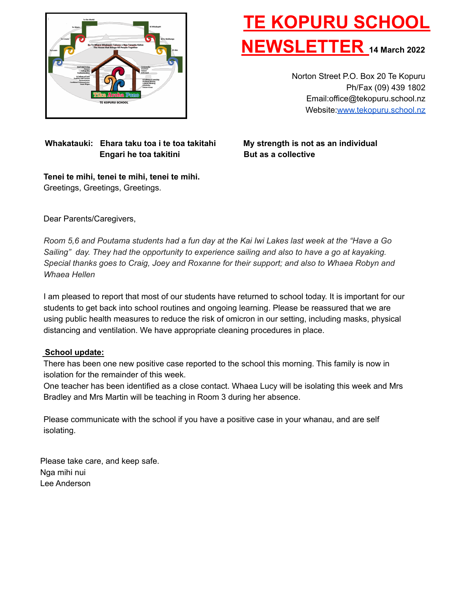

# **TE KOPURU SCHOOL NEWSLETTER <sup>14</sup> March <sup>2022</sup>**

Norton Street P.O. Box 20 Te Kopuru Ph/Fax (09) 439 1802 Email:office@tekopuru.school.nz Website:[www.tekopuru.school.nz](http://www.tekopuru.school.nz)

### **Whakatauki: Ehara taku toa i te toa takitahi My strength is not as an individual Engari he toa takitini But as a collective**

**Tenei te mihi, tenei te mihi, tenei te mihi.** Greetings, Greetings, Greetings.

Dear Parents/Caregivers,

Room 5,6 and Poutama students had a fun day at the Kai Iwi Lakes last week at the "Have a Go *Sailing" day. They had the opportunity to experience sailing and also to have a go at kayaking. Special thanks goes to Craig, Joey and Roxanne for their support; and also to Whaea Robyn and Whaea Hellen*

I am pleased to report that most of our students have returned to school today. It is important for our students to get back into school routines and ongoing learning. Please be reassured that we are using public health measures to reduce the risk of omicron in our setting, including masks, physical distancing and ventilation. We have appropriate cleaning procedures in place.

#### **School update:**

There has been one new positive case reported to the school this morning. This family is now in isolation for the remainder of this week.

One teacher has been identified as a close contact. Whaea Lucy will be isolating this week and Mrs Bradley and Mrs Martin will be teaching in Room 3 during her absence.

Please communicate with the school if you have a positive case in your whanau, and are self isolating.

Please take care, and keep safe. Nga mihi nui Lee Anderson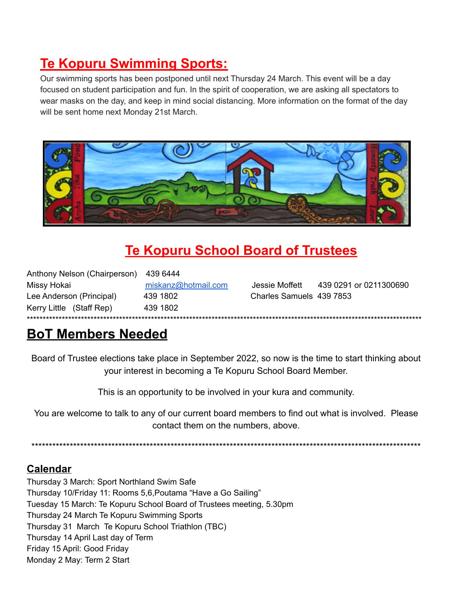# **Te Kopuru Swimming Sports:**

Our swimming sports has been postponed until next Thursday 24 March. This event will be a day focused on student participation and fun. In the spirit of cooperation, we are asking all spectators to wear masks on the day, and keep in mind social distancing. More information on the format of the day will be sent home next Monday 21st March.



# **Te Kopuru School Board of Trustees**

Anthony Nelson (Chairperson) 439 6444 Missy Hokai miskanz@hotmail.com Jessie Moffett 439 0291 or 0211300690 439 1802 Charles Samuels 439 7853 Lee Anderson (Principal) Kerry Little (Staff Rep) 439 1802

## **BoT Members Needed**

Board of Trustee elections take place in September 2022, so now is the time to start thinking about vour interest in becoming a Te Kopuru School Board Member.

This is an opportunity to be involved in your kura and community.

You are welcome to talk to any of our current board members to find out what is involved. Please contact them on the numbers, above.

### **Calendar**

Thursday 3 March: Sport Northland Swim Safe Thursday 10/Friday 11: Rooms 5,6, Poutama "Have a Go Sailing" Tuesday 15 March: Te Kopuru School Board of Trustees meeting, 5.30pm Thursday 24 March Te Kopuru Swimming Sports Thursday 31 March Te Kopuru School Triathlon (TBC) Thursday 14 April Last day of Term Friday 15 April: Good Friday Monday 2 May: Term 2 Start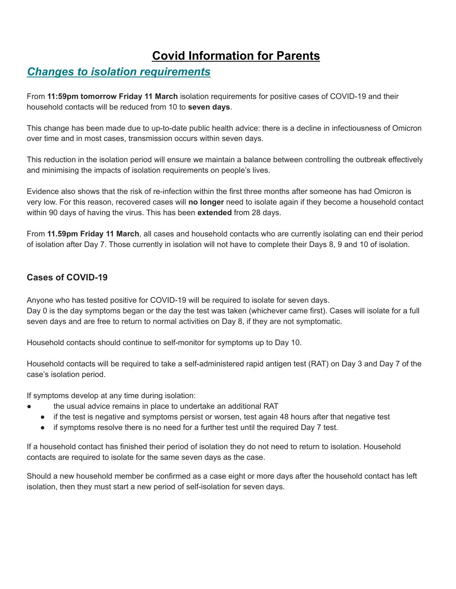### **Covid Information for Parents**

### *Changes to isolation requirements*

From **11:59pm tomorrow Friday 11 March** isolation requirements for positive cases of COVID-19 and their household contacts will be reduced from 10 to **seven days**.

This change has been made due to up-to-date public health advice: there is a decline in infectiousness of Omicron over time and in most cases, transmission occurs within seven days.

This reduction in the isolation period will ensure we maintain a balance between controlling the outbreak effectively and minimising the impacts of isolation requirements on people's lives.

Evidence also shows that the risk of re-infection within the first three months after someone has had Omicron is very low. For this reason, recovered cases will **no longer** need to isolate again if they become a household contact within 90 days of having the virus. This has been **extended** from 28 days.

From **11.59pm Friday 11 March**, all cases and household contacts who are currently isolating can end their period of isolation after Day 7. Those currently in isolation will not have to complete their Days 8, 9 and 10 of isolation.

### **Cases of COVID-19**

Anyone who has tested positive for COVID-19 will be required to isolate for seven days. Day 0 is the day symptoms began or the day the test was taken (whichever came first). Cases will isolate for a full seven days and are free to return to normal activities on Day 8, if they are not symptomatic.

Household contacts should continue to self-monitor for symptoms up to Day 10.

Household contacts will be required to take a self-administered rapid antigen test (RAT) on Day 3 and Day 7 of the case's isolation period.

If symptoms develop at any time during isolation:

- the usual advice remains in place to undertake an additional RAT
- if the test is negative and symptoms persist or worsen, test again 48 hours after that negative test
- if symptoms resolve there is no need for a further test until the required Day 7 test.

If a household contact has finished their period of isolation they do not need to return to isolation. Household contacts are required to isolate for the same seven days as the case.

Should a new household member be confirmed as a case eight or more days after the household contact has left isolation, then they must start a new period of self-isolation for seven days.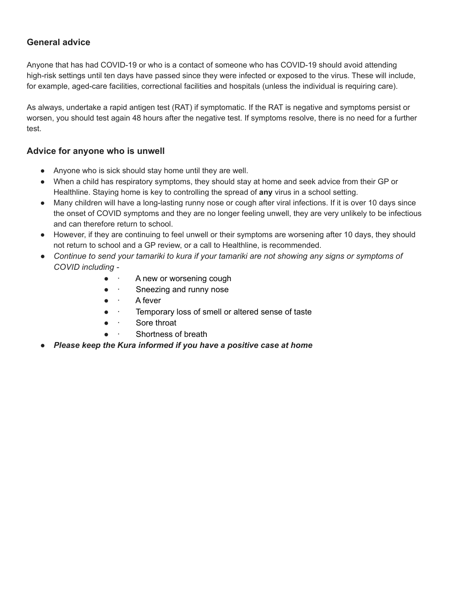### **General advice**

Anyone that has had COVID-19 or who is a contact of someone who has COVID-19 should avoid attending high-risk settings until ten days have passed since they were infected or exposed to the virus. These will include, for example, aged-care facilities, correctional facilities and hospitals (unless the individual is requiring care).

As always, undertake a rapid antigen test (RAT) if symptomatic. If the RAT is negative and symptoms persist or worsen, you should test again 48 hours after the negative test. If symptoms resolve, there is no need for a further test.

#### **Advice for anyone who is unwell**

- Anyone who is sick should stay home until they are well.
- When a child has respiratory symptoms, they should stay at home and seek advice from their GP or Healthline. Staying home is key to controlling the spread of **any** virus in a school setting.
- Many children will have a long-lasting runny nose or cough after viral infections. If it is over 10 days since the onset of COVID symptoms and they are no longer feeling unwell, they are very unlikely to be infectious and can therefore return to school.
- However, if they are continuing to feel unwell or their symptoms are worsening after 10 days, they should not return to school and a GP review, or a call to Healthline, is recommended.
- *Continue to send your tamariki to kura if your tamariki are not showing any signs or symptoms of COVID including -*
	- · A new or worsening cough
	- Sneezing and runny nose
	- · A fever
	- · Temporary loss of smell or altered sense of taste
	- · Sore throat
	- · Shortness of breath
- **●** *Please keep the Kura informed if you have a positive case at home*